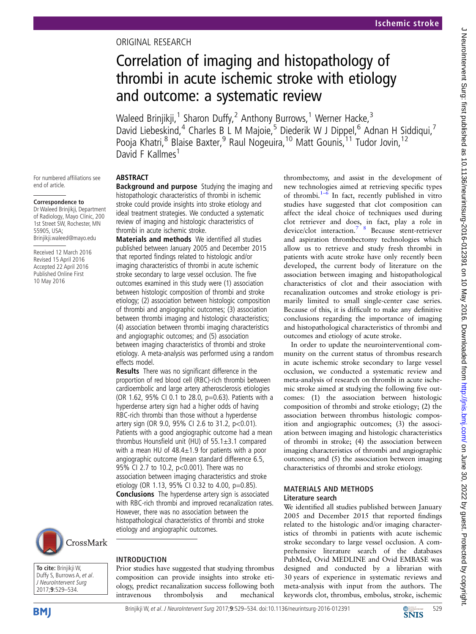## ORIGINAL RESEARCH

# Correlation of imaging and histopathology of thrombi in acute ischemic stroke with etiology and outcome: a systematic review

Waleed Brinjikji,<sup>1</sup> Sharon Duffy,<sup>2</sup> Anthony Burrows,<sup>1</sup> Werner Hacke,<sup>3</sup> David Liebeskind,<sup>4</sup> Charles B L M Majoie,<sup>5</sup> Diederik W J Dippel,<sup>6</sup> Adnan H Siddiqui,<sup>7</sup> Pooja Khatri, <sup>8</sup> Blaise Baxter, <sup>9</sup> Raul Nogeuira, <sup>10</sup> Matt Gounis, <sup>11</sup> Tudor Jovin, <sup>12</sup> David F Kallmes<sup>1</sup>

ABSTRACT

# **Correspondence to**

end of article.

For numbered affiliations see

Dr Waleed Brinjikji, Department of Radiology, Mayo Clinic, 200 1st Street SW, Rochester, MN 55905, USA; Brinjikji.waleed@mayo.edu

Received 12 March 2016 Revised 15 April 2016 Accepted 22 April 2016 Published Online First 10 May 2016



**To cite:** Brinjikji W, Duffy S, Burrows A, et al. J NeuroIntervent Surg 2017;**9**:529–534.

**Background and purpose** Studying the imaging and histopathologic characteristics of thrombi in ischemic stroke could provide insights into stroke etiology and ideal treatment strategies. We conducted a systematic review of imaging and histologic characteristics of thrombi in acute ischemic stroke.

Materials and methods We identified all studies published between January 2005 and December 2015 that reported findings related to histologic and/or imaging characteristics of thrombi in acute ischemic stroke secondary to large vessel occlusion. The five outcomes examined in this study were (1) association between histologic composition of thrombi and stroke etiology; (2) association between histologic composition of thrombi and angiographic outcomes; (3) association between thrombi imaging and histologic characteristics; (4) association between thrombi imaging characteristics and angiographic outcomes; and (5) association between imaging characteristics of thrombi and stroke etiology. A meta-analysis was performed using a random effects model.

Results There was no significant difference in the proportion of red blood cell (RBC)-rich thrombi between cardioembolic and large artery atherosclerosis etiologies (OR 1.62, 95% CI 0.1 to 28.0, p=0.63). Patients with a hyperdense artery sign had a higher odds of having RBC-rich thrombi than those without a hyperdense artery sign (OR 9.0, 95% CI 2.6 to 31.2, p<0.01). Patients with a good angiographic outcome had a mean thrombus Hounsfield unit (HU) of  $55.1 \pm 3.1$  compared with a mean HU of  $48.4 \pm 1.9$  for patients with a poor angiographic outcome (mean standard difference 6.5, 95% CI 2.7 to 10.2, p<0.001). There was no association between imaging characteristics and stroke etiology (OR 1.13, 95% CI 0.32 to 4.00, p=0.85). Conclusions The hyperdense artery sign is associated with RBC-rich thrombi and improved recanalization rates. However, there was no association between the histopathological characteristics of thrombi and stroke etiology and angiographic outcomes.

INTRODUCTION Prior studies have suggested that studying thrombus composition can provide insights into stroke etiology, predict recanalization success following both intravenous thrombolysis and mechanical thrombectomy, and assist in the development of new technologies aimed at retrieving specific types of thrombi. $1-\delta$  $1-\delta$  In fact, recently published in vitro studies have suggested that clot composition can affect the ideal choice of techniques used during clot retriever and does, in fact, play a role in device/clot interaction.<sup>7</sup> <sup>8</sup> Because stent-retriever and aspiration thrombectomy technologies which allow us to retrieve and study fresh thrombi in patients with acute stroke have only recently been developed, the current body of literature on the association between imaging and histopathological characteristics of clot and their association with recanalization outcomes and stroke etiology is primarily limited to small single-center case series. Because of this, it is difficult to make any definitive conclusions regarding the importance of imaging and histopathological characteristics of thrombi and outcomes and etiology of acute stroke.

In order to update the neurointerventional community on the current status of thrombus research in acute ischemic stroke secondary to large vessel occlusion, we conducted a systematic review and meta-analysis of research on thrombi in acute ischemic stroke aimed at studying the following five outcomes: (1) the association between histologic composition of thrombi and stroke etiology; (2) the association between thrombus histologic composition and angiographic outcomes; (3) the association between imaging and histologic characteristics of thrombi in stroke; (4) the association between imaging characteristics of thrombi and angiographic outcomes; and (5) the association between imaging characteristics of thrombi and stroke etiology.

#### MATERIALS AND METHODS Literature search

We identified all studies published between January 2005 and December 2015 that reported findings related to the histologic and/or imaging characteristics of thrombi in patients with acute ischemic stroke secondary to large vessel occlusion. A comprehensive literature search of the databases PubMed, Ovid MEDLINE and Ovid EMBASE was designed and conducted by a librarian with 30 years of experience in systematic reviews and meta-analysis with input from the authors. The keywords clot, thrombus, embolus, stroke, ischemic

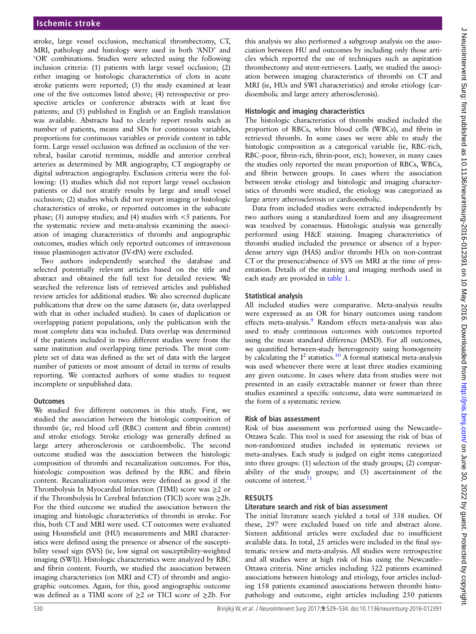stroke, large vessel occlusion, mechanical thrombectomy, CT, MRI, pathology and histology were used in both 'AND' and 'OR' combinations. Studies were selected using the following inclusion criteria: (1) patients with large vessel occlusion; (2) either imaging or histologic characteristics of clots in acute stroke patients were reported; (3) the study examined at least one of the five outcomes listed above; (4) retrospective or prospective articles or conference abstracts with at least five patients; and (5) published in English or an English translation was available. Abstracts had to clearly report results such as number of patients, means and SDs for continuous variables, proportions for continuous variables or provide content in table form. Large vessel occlusion was defined as occlusion of the vertebral, basilar carotid terminus, middle and anterior cerebral arteries as determined by MR angiography, CT angiography or digital subtraction angiography. Exclusion criteria were the following: (1) studies which did not report large vessel occlusion patients or did not stratify results by large and small vessel occlusion; (2) studies which did not report imaging or histologic characteristics of stroke, or reported outcomes in the subacute phase; (3) autopsy studies; and (4) studies with  $\lt 5$  patients. For the systematic review and meta-analysis examining the association of imaging characteristics of thrombi and angiographic outcomes, studies which only reported outcomes of intravenous tissue plasminogen activator (IV-tPA) were excluded.

Two authors independently searched the database and selected potentially relevant articles based on the title and abstract and obtained the full text for detailed review. We searched the reference lists of retrieved articles and published review articles for additional studies. We also screened duplicate publications that drew on the same datasets (ie, data overlapped with that in other included studies). In cases of duplication or overlapping patient populations, only the publication with the most complete data was included. Data overlap was determined if the patients included in two different studies were from the same institution and overlapping time periods. The most complete set of data was defined as the set of data with the largest number of patients or most amount of detail in terms of results reporting. We contacted authors of some studies to request incomplete or unpublished data.

#### **Outcomes**

We studied five different outcomes in this study. First, we studied the association between the histologic composition of thrombi (ie, red blood cell (RBC) content and fibrin content) and stroke etiology. Stroke etiology was generally defined as large artery atherosclerosis or cardioembolic. The second outcome studied was the association between the histologic composition of thrombi and recanalization outcomes. For this, histologic composition was defined by the RBC and fibrin content. Recanalization outcomes were defined as good if the Thrombolysis In Myocardial Infarction (TIMI) score was ≥2 or if the Thrombolysis In Cerebral Infarction (TICI) score was  $\geq 2b$ . For the third outcome we studied the association between the imaging and histologic characteristics of thrombi in stroke. For this, both CT and MRI were used. CT outcomes were evaluated using Hounsfield unit (HU) measurements and MRI characteristics were defined using the presence or absence of the susceptibility vessel sign (SVS) (ie, low signal on susceptibility-weighted imaging (SWI)). Histologic characteristics were analyzed by RBC and fibrin content. Fourth, we studied the association between imaging characteristics (on MRI and CT) of thrombi and angiographic outcomes. Again, for this, good angiographic outcome was defined as a TIMI score of  $\geq 2$  or TICI score of  $\geq 2b$ . For

this analysis we also performed a subgroup analysis on the association between HU and outcomes by including only those articles which reported the use of techniques such as aspiration thrombectomy and stent-retrievers. Lastly, we studied the association between imaging characteristics of thrombi on CT and MRI (ie, HUs and SWI characteristics) and stroke etiology (cardioembolic and large artery atherosclerosis).

#### Histologic and imaging characteristics

The histologic characteristics of thrombi studied included the proportion of RBCs, white blood cells (WBCs), and fibrin in retrieved thrombi. In some cases we were able to study the histologic composition as a categorical variable (ie, RBC-rich, RBC-poor, fibrin-rich, fibrin-poor, etc); however, in many cases the studies only reported the mean proportion of RBCs, WBCs, and fibrin between groups. In cases where the association between stroke etiology and histologic and imaging characteristics of thrombi were studied, the etiology was categorized as large artery atherosclerosis or cardioembolic.

Data from included studies were extracted independently by two authors using a standardized form and any disagreement was resolved by consensus. Histologic analysis was generally performed using H&E staining. Imaging characteristics of thrombi studied included the presence or absence of a hyperdense artery sign (HAS) and/or thrombi HUs on non-contrast CT or the presence/absence of SVS on MRI at the time of presentation. Details of the staining and imaging methods used in each study are provided in [table 1.](#page-2-0)

#### Statistical analysis

All included studies were comparative. Meta-analysis results were expressed as an OR for binary outcomes using random effects meta-analysis.<sup>[9](#page-5-0)</sup> Random effects meta-analysis was also used to study continuous outcomes with outcomes reported using the mean standard difference (MSD). For all outcomes, we quantified between-study heterogeneity using homogeneity by calculating the  $I^2$  statistics.<sup>10</sup> A formal statistical meta-analysis was used whenever there were at least three studies examining any given outcome. In cases where data from studies were not presented in an easily extractable manner or fewer than three studies examined a specific outcome, data were summarized in the form of a systematic review.

#### Risk of bias assessment

Risk of bias assessment was performed using the Newcastle– Ottawa Scale. This tool is used for assessing the risk of bias of non-randomized studies included in systematic reviews or meta-analyses. Each study is judged on eight items categorized into three groups: (1) selection of the study groups; (2) comparability of the study groups; and (3) ascertainment of the outcome of interest.<sup>[11](#page-5-0)</sup>

#### **RESULTS**

#### Literature search and risk of bias assessment

The initial literature search yielded a total of 338 studies. Of these, 297 were excluded based on title and abstract alone. Sixteen additional articles were excluded due to insufficient available data. In total, 25 articles were included in the final systematic review and meta-analysis. All studies were retrospective and all studies were at high risk of bias using the Newcastle– Ottawa criteria. Nine articles including 322 patients examined associations between histology and etiology, four articles including 158 patients examined associations between thrombi histopathology and outcome, eight articles including 250 patients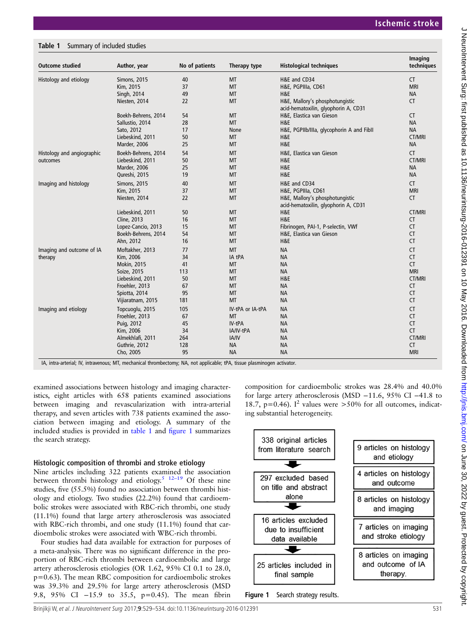#### <span id="page-2-0"></span>Table 1 Summary of included studies

| <b>Outcome studied</b>     | Author, year        | No of patients | Therapy type     | <b>Histological techniques</b>                                          | Imaging<br>techniques |
|----------------------------|---------------------|----------------|------------------|-------------------------------------------------------------------------|-----------------------|
| Histology and etiology     | <b>Simons, 2015</b> | 40             | MT               | H&E and CD34                                                            | <b>CT</b>             |
|                            | Kim, 2015           | 37             | <b>MT</b>        | H&E, PGPIIIa, CD61                                                      | <b>MRI</b>            |
|                            | Singh, 2014         | 49             | <b>MT</b>        | H&E                                                                     | <b>NA</b>             |
|                            | Niesten, 2014       | 22             | <b>MT</b>        | H&E, Mallory's phosphotungistic<br>acid-hematoxilin, glyophorin A, CD31 | <b>CT</b>             |
|                            | Boekh-Behrens, 2014 | 54             | <b>MT</b>        | H&E, Elastica van Gieson                                                | <b>CT</b>             |
|                            | Sallustio, 2014     | 28             | <b>MT</b>        | H&E                                                                     | <b>NA</b>             |
|                            | Sato, 2012          | 17             | None             | H&E, PGPIIb/IIIa, glycophorin A and FibII                               | <b>NA</b>             |
|                            | Liebeskind, 2011    | 50             | <b>MT</b>        | H&E                                                                     | <b>CT/MRI</b>         |
|                            | Marder, 2006        | 25             | <b>MT</b>        | H&E                                                                     | <b>NA</b>             |
| Histology and angiographic | Boekh-Behrens, 2014 | 54             | <b>MT</b>        | H&E. Elastica van Gieson                                                | <b>CT</b>             |
| outcomes                   | Liebeskind, 2011    | 50             | MT               | H&E                                                                     | CT/MRI                |
|                            | Marder, 2006        | 25             | MT               | H&E                                                                     | <b>NA</b>             |
|                            | Qureshi, 2015       | 19             | MT               | H&E                                                                     | <b>NA</b>             |
| Imaging and histology      | <b>Simons, 2015</b> | 40             | <b>MT</b>        | H&E and CD34                                                            | <b>CT</b>             |
|                            | Kim, 2015           | 37             | <b>MT</b>        | H&E, PGPIIIa, CD61                                                      | <b>MRI</b>            |
|                            | Niesten, 2014       | 22             | <b>MT</b>        | H&E, Mallory's phosphotungistic<br>acid-hematoxilin, glyophorin A, CD31 | <b>CT</b>             |
|                            | Liebeskind, 2011    | 50             | MT               | H&E                                                                     | <b>CT/MRI</b>         |
|                            | Cline, 2013         | 16             | <b>MT</b>        | H&E                                                                     | <b>CT</b>             |
|                            | Lopez-Cancio, 2013  | 15             | <b>MT</b>        | Fibrinogen, PAI-1, P-selectin, VWf                                      | <b>CT</b>             |
|                            | Boekh-Behrens, 2014 | 54             | <b>MT</b>        | H&E, Elastica van Gieson                                                | <b>CT</b>             |
|                            | Ahn, 2012           | 16             | <b>MT</b>        | H&E                                                                     | <b>CT</b>             |
| Imaging and outcome of IA  | Moftakher, 2013     | 77             | <b>MT</b>        | <b>NA</b>                                                               | <b>CT</b>             |
| therapy                    | Kim, 2006           | 34             | IA tPA           | <b>NA</b>                                                               | <b>CT</b>             |
|                            | <b>Mokin, 2015</b>  | 41             | <b>MT</b>        | <b>NA</b>                                                               | <b>CT</b>             |
|                            | Soize, 2015         | 113            | MT               | <b>NA</b>                                                               | <b>MRI</b>            |
|                            | Liebeskind, 2011    | 50             | MT               | H&E                                                                     | <b>CT/MRI</b>         |
|                            | Froehler, 2013      | 67             | <b>MT</b>        | <b>NA</b>                                                               | <b>CT</b>             |
|                            | Spiotta, 2014       | 95             | <b>MT</b>        | <b>NA</b>                                                               | <b>CT</b>             |
|                            | Vijiaratnam, 2015   | 181            | MT               | <b>NA</b>                                                               | <b>CT</b>             |
| Imaging and etiology       | Topcuoglu, 2015     | 105            | IV-tPA or IA-tPA | <b>NA</b>                                                               | <b>CT</b>             |
|                            | Froehler, 2013      | 67             | <b>MT</b>        | <b>NA</b>                                                               | <b>CT</b>             |
|                            | Puig, 2012          | 45             | IV-tPA           | <b>NA</b>                                                               | <b>CT</b>             |
|                            | Kim, 2006           | 34             | IA/IV-tPA        | <b>NA</b>                                                               | <b>CT</b>             |
|                            | Almekhlafi, 2011    | 264            | <b>IA/IV</b>     | <b>NA</b>                                                               | <b>CT/MRI</b>         |
|                            | Guthrie, 2012       | 128            | <b>NA</b>        | <b>NA</b>                                                               | <b>CT</b>             |
|                            | Cho, 2005           | 95             | <b>NA</b>        | <b>NA</b>                                                               | <b>MRI</b>            |

IA, intra-arterial; IV, intravenous; MT, mechanical thrombectomy; NA, not applicable; tPA, tissue plasminogen activator.

examined associations between histology and imaging characteristics, eight articles with 658 patients examined associations between imaging and revascularization with intra-arterial therapy, and seven articles with 738 patients examined the association between imaging and etiology. A summary of the included studies is provided in table 1 and figure 1 summarizes the search strategy.

#### Histologic composition of thrombi and stroke etiology

Nine articles including 322 patients examined the association between thrombi histology and etiology.<sup>[5](#page-5-0)</sup>  $12-19$  $12-19$  Of these nine studies, five (55.5%) found no association between thrombi histology and etiology. Two studies (22.2%) found that cardioembolic strokes were associated with RBC-rich thrombi, one study (11.1%) found that large artery atherosclerosis was associated with RBC-rich thrombi, and one study (11.1%) found that cardioembolic strokes were associated with WBC-rich thrombi.

Four studies had data available for extraction for purposes of a meta-analysis. There was no significant difference in the proportion of RBC-rich thrombi between cardioembolic and large artery atherosclerosis etiologies (OR 1.62, 95% CI 0.1 to 28.0, p=0.63). The mean RBC composition for cardioembolic strokes was 39.3% and 29.5% for large artery atherosclerosis (MSD 9.8, 95% CI −15.9 to 35.5, p=0.45). The mean fibrin

composition for cardioembolic strokes was 28.4% and 40.0% for large artery atherosclerosis (MSD −11.6, 95% CI −41.8 to 18.7, p=0.46). I<sup>2</sup> values were  $>50\%$  for all outcomes, indicating substantial heterogeneity.



Figure 1 Search strategy results.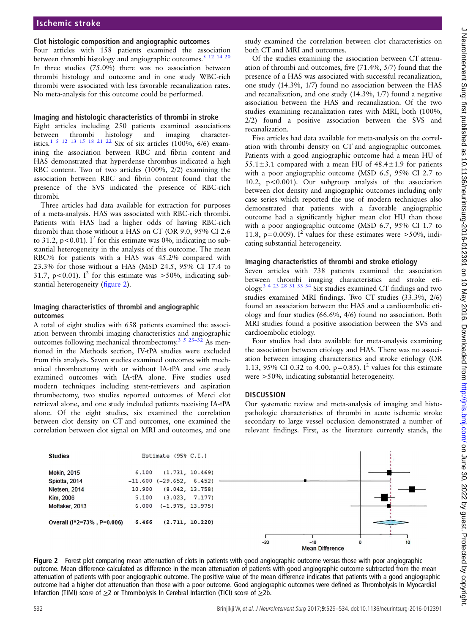#### **Ischemic stroke**

#### Clot histologic composition and angiographic outcomes

Four articles with 158 patients examined the association between thrombi histology and angiographic outcomes.<sup>[5 12 14 20](#page-5-0)</sup> In three studies (75.0%) there was no association between thrombi histology and outcome and in one study WBC-rich thrombi were associated with less favorable recanalization rates. No meta-analysis for this outcome could be performed.

#### Imaging and histologic characteristics of thrombi in stroke

Eight articles including 250 patients examined associations between thrombi histology and imaging characteristics.<sup>1 5</sup> <sup>12</sup> <sup>13</sup> <sup>15</sup> <sup>18</sup> <sup>21</sup> <sup>22</sup> Six of six articles (100%, 6/6) examining the association between RBC and fibrin content and HAS demonstrated that hyperdense thrombus indicated a high RBC content. Two of two articles (100%, 2/2) examining the association between RBC and fibrin content found that the presence of the SVS indicated the presence of RBC-rich thrombi.

Three articles had data available for extraction for purposes of a meta-analysis. HAS was associated with RBC-rich thrombi. Patients with HAS had a higher odds of having RBC-rich thrombi than those without a HAS on CT (OR 9.0, 95% CI 2.6 to 31.2, p<0.01). I<sup>2</sup> for this estimate was 0%, indicating no substantial heterogeneity in the analysis of this outcome. The mean RBC% for patients with a HAS was 45.2% compared with 23.3% for those without a HAS (MSD 24.5, 95% CI 17.4 to 31.7, p<0.01). I<sup>2</sup> for this estimate was >50%, indicating substantial heterogeneity (figure 2).

#### Imaging characteristics of thrombi and angiographic outcomes

A total of eight studies with 658 patients examined the association between thrombi imaging characteristics and angiographic outcomes following mechanical thrombectomy.[3 5 23](#page-5-0)–<sup>32</sup> As mentioned in the Methods section, IV-tPA studies were excluded from this analysis. Seven studies examined outcomes with mechanical thrombectomy with or without IA-tPA and one study examined outcomes with IA-tPA alone. Five studies used modern techniques including stent-retrievers and aspiration thrombectomy, two studies reported outcomes of Merci clot retrieval alone, and one study included patients receiving IA-tPA alone. Of the eight studies, six examined the correlation between clot density on CT and outcomes, one examined the correlation between clot signal on MRI and outcomes, and one

study examined the correlation between clot characteristics on both CT and MRI and outcomes.

Of the studies examining the association between CT attenuation of thrombi and outcomes, five (71.4%, 5/7) found that the presence of a HAS was associated with successful recanalization, one study (14.3%, 1/7) found no association between the HAS and recanalization, and one study (14.3%, 1/7) found a negative association between the HAS and recanalization. Of the two studies examining recanalization rates with MRI, both (100%, 2/2) found a positive association between the SVS and recanalization.

Five articles had data available for meta-analysis on the correlation with thrombi density on CT and angiographic outcomes. Patients with a good angiographic outcome had a mean HU of 55.1 $\pm$ 3.1 compared with a mean HU of 48.4 $\pm$ 1.9 for patients with a poor angiographic outcome (MSD 6.5, 95% CI 2.7 to 10.2,  $p < 0.001$ ). Our subgroup analysis of the association between clot density and angiographic outcomes including only case series which reported the use of modern techniques also demonstrated that patients with a favorable angiographic outcome had a significantly higher mean clot HU than those with a poor angiographic outcome (MSD 6.7, 95% CI 1.7 to 11.8, p=0.009). I<sup>2</sup> values for these estimates were >50%, indicating substantial heterogeneity.

#### Imaging characteristics of thrombi and stroke etiology

Seven articles with 738 patients examined the association between thrombi imaging characteristics and stroke etiology.[3 4 23 28 31 33 34](#page-5-0) Six studies examined CT findings and two studies examined MRI findings. Two CT studies (33.3%, 2/6) found an association between the HAS and a cardioembolic etiology and four studies (66.6%, 4/6) found no association. Both MRI studies found a positive association between the SVS and cardioembolic etiology.

Four studies had data available for meta-analysis examining the association between etiology and HAS. There was no association between imaging characteristics and stroke etiology (OR 1.13, 95% CI 0.32 to 4.00, p=0.85). I<sup>2</sup> values for this estimate were >50%, indicating substantial heterogeneity.

#### **DISCUSSION**

Our systematic review and meta-analysis of imaging and histopathologic characteristics of thrombi in acute ischemic stroke secondary to large vessel occlusion demonstrated a number of relevant findings. First, as the literature currently stands, the



Figure 2 Forest plot comparing mean attenuation of clots in patients with good angiographic outcome versus those with poor angiographic outcome. Mean difference calculated as difference in the mean attenuation of patients with good angiographic outcome subtracted from the mean attenuation of patients with poor angiographic outcome. The positive value of the mean difference indicates that patients with a good angiographic outcome had a higher clot attenuation than those with a poor outcome. Good angiographic outcomes were defined as Thrombolysis In Myocardial Infarction (TIMI) score of ≥2 or Thrombolysis In Cerebral Infarction (TICI) score of ≥2b.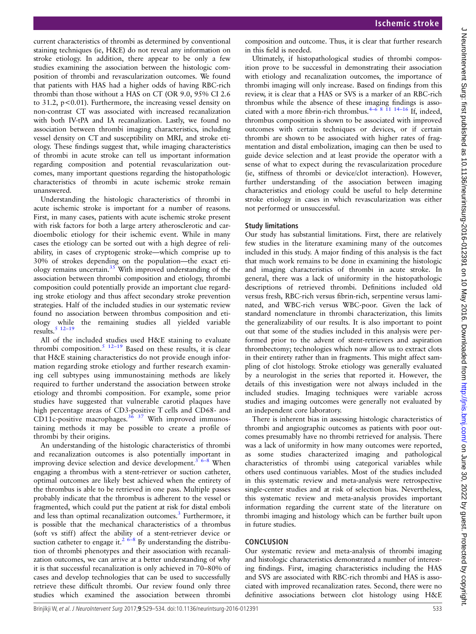current characteristics of thrombi as determined by conventional staining techniques (ie, H&E) do not reveal any information on stroke etiology. In addition, there appear to be only a few studies examining the association between the histologic composition of thrombi and revascularization outcomes. We found that patients with HAS had a higher odds of having RBC-rich thrombi than those without a HAS on CT (OR 9.0, 95% CI 2.6 to 31.2, p<0.01). Furthermore, the increasing vessel density on non-contrast CT was associated with increased recanalization with both IV-tPA and IA recanalization. Lastly, we found no association between thrombi imaging characteristics, including vessel density on CT and susceptibility on MRI, and stroke etiology. These findings suggest that, while imaging characteristics of thrombi in acute stroke can tell us important information regarding composition and potential revascularization outcomes, many important questions regarding the histopathologic characteristics of thrombi in acute ischemic stroke remain unanswered.

Understanding the histologic characteristics of thrombi in acute ischemic stroke is important for a number of reasons. First, in many cases, patients with acute ischemic stroke present with risk factors for both a large artery atherosclerotic and cardioembolic etiology for their ischemic event. While in many cases the etiology can be sorted out with a high degree of reliability, in cases of cryptogenic stroke—which comprise up to 30% of strokes depending on the population—the exact etiology remains uncertain[.35](#page-5-0) With improved understanding of the association between thrombi composition and etiology, thrombi composition could potentially provide an important clue regarding stroke etiology and thus affect secondary stroke prevention strategies. Half of the included studies in our systematic review found no association between thrombus composition and etiology while the remaining studies all yielded variable results.<sup>5</sup>  $12-19$ 

All of the included studies used H&E staining to evaluate thrombi composition.<sup>[5](#page-5-0) 12–[19](#page-5-0)</sup> Based on these results, it is clear that H&E staining characteristics do not provide enough information regarding stroke etiology and further research examining cell subtypes using immunostaining methods are likely required to further understand the association between stroke etiology and thrombi composition. For example, some prior studies have suggested that vulnerable carotid plaques have high percentage areas of CD3-positive T cells and CD68- and CD11c-positive macrophages.<sup>36</sup> <sup>37</sup> With improved immunostaining methods it may be possible to create a profile of thrombi by their origins.

An understanding of the histologic characteristics of thrombi and recanalization outcomes is also potentially important in improving device selection and device development.<sup>[3 6](#page-5-0)–8</sup> When engaging a thrombus with a stent-retriever or suction catheter, optimal outcomes are likely best achieved when the entirety of the thrombus is able to be retrieved in one pass. Multiple passes probably indicate that the thrombus is adherent to the vessel or fragmented, which could put the patient at risk for distal emboli and less than optimal recanalization outcomes.<sup>3</sup> Furthermore, it is possible that the mechanical characteristics of a thrombus (soft vs stiff) affect the ability of a stent-retriever device or suction catheter to engage it.<sup>[2](#page-5-0) 6–[8](#page-5-0)</sup> By understanding the distribution of thrombi phenotypes and their association with recanalization outcomes, we can arrive at a better understanding of why it is that successful recanalization is only achieved in 70–80% of cases and develop technologies that can be used to successfully retrieve these difficult thrombi. Our review found only three studies which examined the association between thrombi

composition and outcome. Thus, it is clear that further research in this field is needed.

Ultimately, if histopathological studies of thrombi composition prove to be successful in demonstrating their association with etiology and recanalization outcomes, the importance of thrombi imaging will only increase. Based on findings from this review, it is clear that a HAS or SVS is a marker of an RBC-rich thrombus while the absence of these imaging findings is asso-ciated with a more fibrin-rich thrombus.<sup>4–6 8</sup> <sup>11</sup> <sup>14–[16](#page-5-0)</sup> If, indeed, thrombus composition is shown to be associated with improved outcomes with certain techniques or devices, or if certain thrombi are shown to be associated with higher rates of fragmentation and distal embolization, imaging can then be used to guide device selection and at least provide the operator with a sense of what to expect during the revascularization procedure (ie, stiffness of thrombi or device/clot interaction). However, further understanding of the association between imaging characteristics and etiology could be useful to help determine stroke etiology in cases in which revascularization was either not performed or unsuccessful.

#### Study limitations

Our study has substantial limitations. First, there are relatively few studies in the literature examining many of the outcomes included in this study. A major finding of this analysis is the fact that much work remains to be done in examining the histologic and imaging characteristics of thrombi in acute stroke. In general, there was a lack of uniformity in the histopathologic descriptions of retrieved thrombi. Definitions included old versus fresh, RBC-rich versus fibrin-rich, serpentine versus laminated, and WBC-rich versus WBC-poor. Given the lack of standard nomenclature in thrombi characterization, this limits the generalizability of our results. It is also important to point out that some of the studies included in this analysis were performed prior to the advent of stent-retrievers and aspiration thrombectomy; technologies which now allow us to extract clots in their entirety rather than in fragments. This might affect sampling of clot histology. Stroke etiology was generally evaluated by a neurologist in the series that reported it. However, the details of this investigation were not always included in the included studies. Imaging techniques were variable across studies and imaging outcomes were generally not evaluated by an independent core laboratory.

There is inherent bias in assessing histologic characteristics of thrombi and angiographic outcomes as patients with poor outcomes presumably have no thrombi retrieved for analysis. There was a lack of uniformity in how many outcomes were reported, as some studies characterized imaging and pathological characteristics of thrombi using categorical variables while others used continuous variables. Most of the studies included in this systematic review and meta-analysis were retrospective single-center studies and at risk of selection bias. Nevertheless, this systematic review and meta-analysis provides important information regarding the current state of the literature on thrombi imaging and histology which can be further built upon in future studies.

#### **CONCLUSION**

Our systematic review and meta-analysis of thrombi imaging and histologic characteristics demonstrated a number of interesting findings. First, imaging characteristics including the HAS and SVS are associated with RBC-rich thrombi and HAS is associated with improved recanalization rates. Second, there were no definitive associations between clot histology using H&E